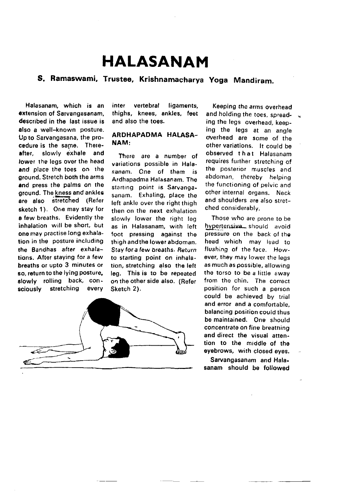## HALASANAM

## S. Ramaswami, Trustee, Krishnamacharya Yoga Mandiram.

Halasanam, which is an extension of Sarvangasanam described in the last issue is also a well-known posture. Upto Sarvangasana, the procedure is the same. Thereafter, slowly exhale and lower the legs over the head and place the toes on the ground. Stretch both the arms and press the palms on the ground. The kness and ankles are also stretched (Refer sketch 1). One may stay for a few breaths. Evidently the inhalation will be short, but one may practise long exhalation in the posture including the Sandhas after exhalations. After staying for a few breaths or upto 3 minutes ot so, return to the lying posture. slowly rolling back, consciously stretching every

inter vertebral ligaments, thighs, knees, ankles, feet and also the toes.

## ARDHAPADMA HALASA-NAM:

There are a number of variations possible in Halasanam. Cne of them is Ardhaoadma Halasanam. The starting point is Sarvangasanam. Exhaling, place the left ankle over the right thigh then on the next exhalation slowly lower the right leg as in Halasanam, with left foot pressing against the thigh andthe lower abdoman. Stay fora few braaths. Return to starting point on inhalation, stretching also the left leg. This is to be reneated on the other side also. (Refer Sketch 2).



Keeping thc arms overhead and holding the toes, spreading the legs overhead, keeping the legs at an angle overhead are some of the other variations, It could be observed that Halasanam requires further stretching of the posterior muscles and abdoman, thereby helping the functioning of peivic and other internal organs. Neck and shoulders are also stretched considerablv.

Those who are prone to be hypertensive should avoid pressure on the back of the head which may lead to flusbing of the face. However, they may lower the legs as much as possible, allowing the torso to be a little away from the chin. The correct position for such a person could be achieved by trial and error and a comfortable, balancing position could thus be maintained. One should concentrate on fine breathing and direct the visual attention to the middle of the eyebrows, with closed eyes.

Sarvangasanam and Halasanam should be followed